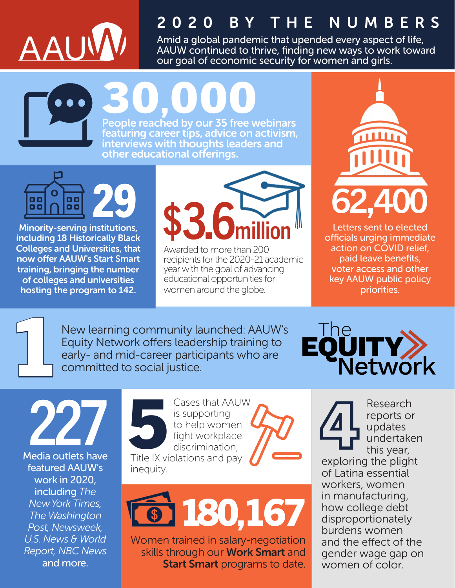

## 2020 BY THE NUMBERS

Amid a global pandemic that upended every aspect of life, AAUW continued to thrive, finding new ways to work toward our goal of economic security for women and girls.

30,000 People reached by our 35 free webinars featuring career tips, advice on activism, interviews with thoughts leaders and other educational offerings.

29 O 88 88 88

Minority-serving institutions, including 18 Historically Black Colleges and Universities, that now offer AAUW's Start Smart training, bringing the number of colleges and universities hosting the program to 142.

## \$3.6 million

Awarded to more than 200 recipients for the 2020-21 academic year with the goal of advancing educational opportunities for women around the globe.



Letters sent to elected officials urging immediate action on COVID relief, paid leave benefits, voter access and other key AAUW public policy priorities.

1

New learning community launched: AAUW's Equity Network offers leadership training to early- and mid-career participants who are committed to social justice.



227 Media outlets have featured AAUW's work in 2020, including *The New York Times, The Washington Post, Newsweek, U.S. News & World Report, NBC News* and more.

Cases that AAUW is supporting to help women fight workplace discrimination, Title IX violations and pay inequity.  $\overline{\mathbf{S}}$ 



Women trained in salary-negotiation skills through our **Work Smart** and **Start Smart** programs to date.

Research<br>
reports or<br>
updates<br>
undertake<br>
this year, reports or updates undertaken this year, exploring the plight of Latina essential workers, women in manufacturing, how college debt disproportionately burdens women and the effect of the gender wage gap on women of color.